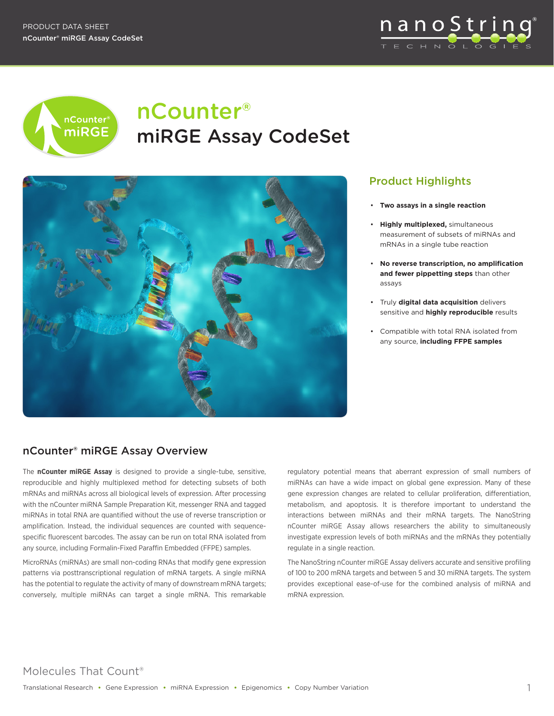



# nCounter® miRGE Assay CodeSet



## Product Highlights

- • **Two assays in a single reaction**
- • **Highly multiplexed,** simultaneous measurement of subsets of miRNAs and mRNAs in a single tube reaction
- • **No reverse transcription, no amplification and fewer pippetting steps** than other assays
- • Truly **digital data acquisition** delivers sensitive and **highly reproducible** results
- • Compatible with total RNA isolated from any source, **including FFPE samples**

## nCounter® miRGE Assay Overview

The **nCounter miRGE Assay** is designed to provide a single-tube, sensitive, reproducible and highly multiplexed method for detecting subsets of both mRNAs and miRNAs across all biological levels of expression. After processing with the nCounter miRNA Sample Preparation Kit, messenger RNA and tagged miRNAs in total RNA are quantified without the use of reverse transcription or amplification. Instead, the individual sequences are counted with sequencespecific fluorescent barcodes. The assay can be run on total RNA isolated from any source, including Formalin-Fixed Paraffin Embedded (FFPE) samples.

MicroRNAs (miRNAs) are small non-coding RNAs that modify gene expression patterns via posttranscriptional regulation of mRNA targets. A single miRNA has the potential to regulate the activity of many of downstream mRNA targets; conversely, multiple miRNAs can target a single mRNA. This remarkable

regulatory potential means that aberrant expression of small numbers of miRNAs can have a wide impact on global gene expression. Many of these gene expression changes are related to cellular proliferation, differentiation, metabolism, and apoptosis. It is therefore important to understand the interactions between miRNAs and their mRNA targets. The NanoString nCounter miRGE Assay allows researchers the ability to simultaneously investigate expression levels of both miRNAs and the mRNAs they potentially regulate in a single reaction.

The NanoString nCounter miRGE Assay delivers accurate and sensitive profiling of 100 to 200 mRNA targets and between 5 and 30 miRNA targets. The system provides exceptional ease-of-use for the combined analysis of miRNA and mRNA expression.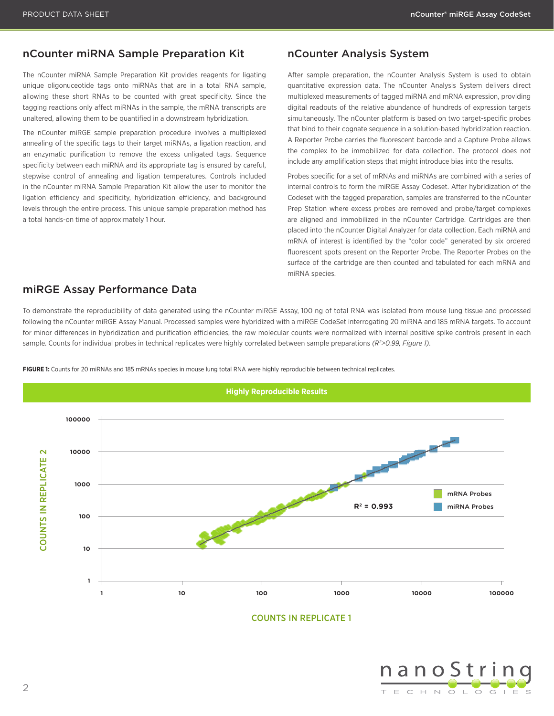### nCounter miRNA Sample Preparation Kit nCounter Analysis System

The nCounter miRNA Sample Preparation Kit provides reagents for ligating unique oligonuceotide tags onto miRNAs that are in a total RNA sample, allowing these short RNAs to be counted with great specificity. Since the tagging reactions only affect miRNAs in the sample, the mRNA transcripts are unaltered, allowing them to be quantified in a downstream hybridization.

The nCounter miRGE sample preparation procedure involves a multiplexed annealing of the specific tags to their target miRNAs, a ligation reaction, and an enzymatic purification to remove the excess unligated tags. Sequence specificity between each miRNA and its appropriate tag is ensured by careful, stepwise control of annealing and ligation temperatures. Controls included in the nCounter miRNA Sample Preparation Kit allow the user to monitor the ligation efficiency and specificity, hybridization efficiency, and background levels through the entire process. This unique sample preparation method has a total hands-on time of approximately 1 hour.

After sample preparation, the nCounter Analysis System is used to obtain quantitative expression data. The nCounter Analysis System delivers direct multiplexed measurements of tagged miRNA and mRNA expression, providing digital readouts of the relative abundance of hundreds of expression targets simultaneously. The nCounter platform is based on two target-specific probes that bind to their cognate sequence in a solution-based hybridization reaction. A Reporter Probe carries the fluorescent barcode and a Capture Probe allows the complex to be immobilized for data collection. The protocol does not include any amplification steps that might introduce bias into the results.

Probes specific for a set of mRNAs and miRNAs are combined with a series of internal controls to form the miRGE Assay Codeset. After hybridization of the Codeset with the tagged preparation, samples are transferred to the nCounter Prep Station where excess probes are removed and probe/target complexes are aligned and immobilized in the nCounter Cartridge. Cartridges are then placed into the nCounter Digital Analyzer for data collection. Each miRNA and mRNA of interest is identified by the "color code" generated by six ordered fluorescent spots present on the Reporter Probe. The Reporter Probes on the surface of the cartridge are then counted and tabulated for each mRNA and miRNA species.

### miRGE Assay Performance Data

To demonstrate the reproducibility of data generated using the nCounter miRGE Assay, 100 ng of total RNA was isolated from mouse lung tissue and processed following the nCounter miRGE Assay Manual. Processed samples were hybridized with a miRGE CodeSet interrogating 20 miRNA and 185 mRNA targets. To account for minor differences in hybridization and purification efficiencies, the raw molecular counts were normalized with internal positive spike controls present in each sample. Counts for individual probes in technical replicates were highly correlated between sample preparations *(R2 >0.99, Figure 1)*.



**FIGURE 1:** Counts for 20 miRNAs and 185 mRNAs species in mouse lung total RNA were highly reproducible between technical replicates.

COUNTS IN REPLICATE 1

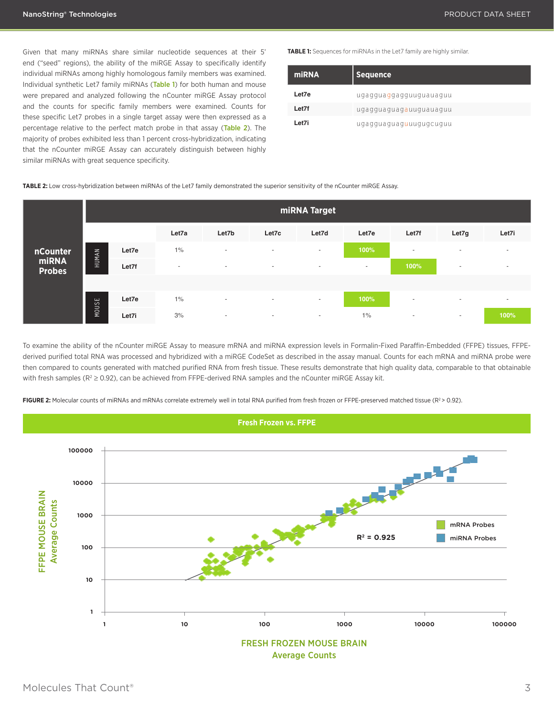Given that many miRNAs share similar nucleotide sequences at their 5' end ("seed" regions), the ability of the miRGE Assay to specifically identify individual miRNAs among highly homologous family members was examined. Individual synthetic Let7 family miRNAs (Table 1) for both human and mouse were prepared and analyzed following the nCounter miRGE Assay protocol and the counts for specific family members were examined. Counts for these specific Let7 probes in a single target assay were then expressed as a percentage relative to the perfect match probe in that assay (Table 2). The majority of probes exhibited less than 1 percent cross-hybridization, indicating that the nCounter miRGE Assay can accurately distinguish between highly similar miRNAs with great sequence specificity.

**TABLE 1:** Sequences for miRNAs in the Let7 family are highly similar.

| miRNA | <b>Sequence</b>                       |
|-------|---------------------------------------|
| Let7e | ugagguaggagguuguauaguu                |
| Let7f | ugagguaguag <mark>a</mark> uuguauaguu |
| Let7i | ugagguaguaguuugugcuguu                |

**TABLE 2:** Low cross-hybridization between miRNAs of the Let7 family demonstrated the superior sensitivity of the nCounter miRGE Assay.

|                        | miRNA Target |       |        |                          |        |                          |        |                          |                          |                          |
|------------------------|--------------|-------|--------|--------------------------|--------|--------------------------|--------|--------------------------|--------------------------|--------------------------|
|                        |              |       | Let7a  | Let7b                    | Let7c  | Let7d                    | Let7e  | Let7f                    | Let7g                    | Let7i                    |
| nCounter               | HUMAN        | Let7e | $1\%$  | $\overline{\phantom{a}}$ | $\sim$ | $\overline{\phantom{a}}$ | 100%   | $\overline{\phantom{a}}$ | $\overline{\phantom{a}}$ | $\sim$                   |
| miRNA<br><b>Probes</b> |              | Let7f | $\sim$ | $\overline{\phantom{a}}$ | $\sim$ | $\overline{\phantom{a}}$ | $\sim$ | 100%                     | $\overline{\phantom{a}}$ | $\overline{\phantom{a}}$ |
|                        |              |       |        |                          |        |                          |        |                          |                          |                          |
|                        | SE           | Let7e | $1\%$  | $\overline{\phantom{a}}$ | $\sim$ | $\overline{\phantom{a}}$ | 100%   | $\overline{\phantom{a}}$ | $\overline{\phantom{a}}$ | $\overline{\phantom{a}}$ |
|                        | NOU.         | Let7i | 3%     | $\sim$                   | $\sim$ | $\sim$                   | $1\%$  | $\sim$                   | $\sim$                   | 100%                     |

To examine the ability of the nCounter miRGE Assay to measure mRNA and miRNA expression levels in Formalin-Fixed Paraffin-Embedded (FFPE) tissues, FFPEderived purified total RNA was processed and hybridized with a miRGE CodeSet as described in the assay manual. Counts for each mRNA and miRNA probe were then compared to counts generated with matched purified RNA from fresh tissue. These results demonstrate that high quality data, comparable to that obtainable with fresh samples ( $R^2 \ge 0.92$ ), can be achieved from FFPE-derived RNA samples and the nCounter miRGE Assay kit.

FIGURE 2: Molecular counts of miRNAs and mRNAs correlate extremely well in total RNA purified from fresh frozen or FFPE-preserved matched tissue (R<sup>2</sup> > 0.92).